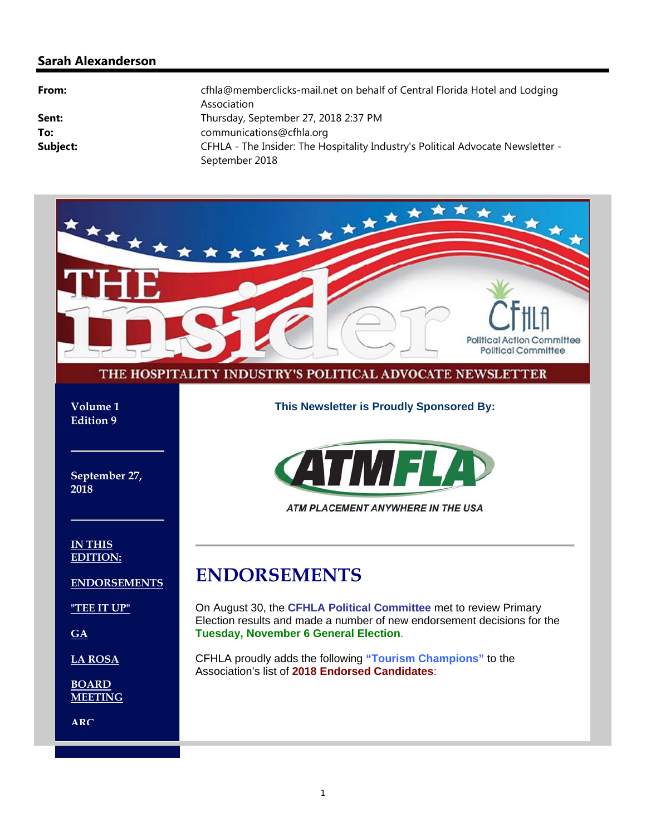### **Sarah Alexanderson**

| From:    | cfhla@memberclicks-mail.net on behalf of Central Florida Hotel and Lodging<br>Association |
|----------|-------------------------------------------------------------------------------------------|
| Sent:    | Thursday, September 27, 2018 2:37 PM                                                      |
| To:      | communications@cfhla.org                                                                  |
| Subject: | CFHLA - The Insider: The Hospitality Industry's Political Advocate Newsletter -           |
|          | September 2018                                                                            |

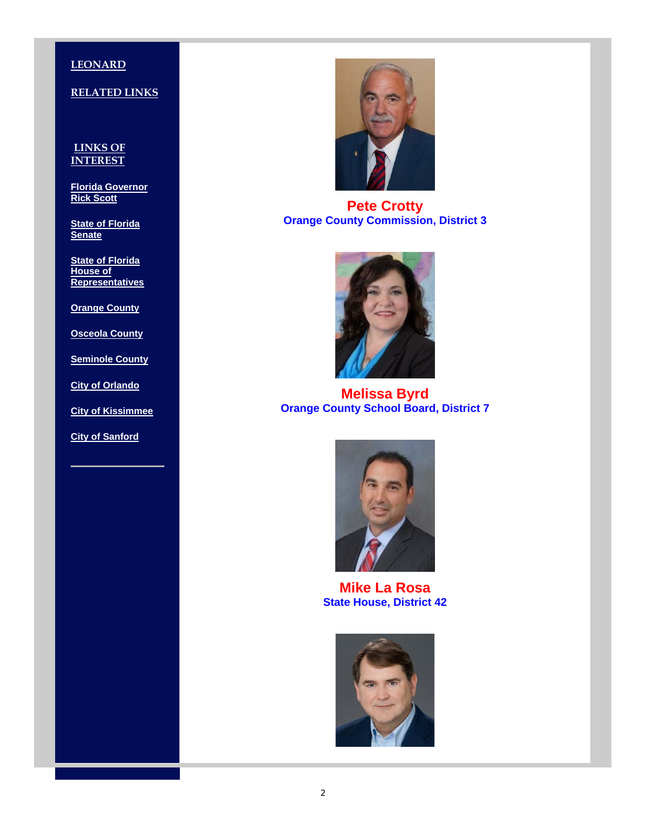#### **LEONARD**

#### **RELATED LINKS**

#### **LINKS OF INTEREST**

**Florida Governor Rick Scott**

**State of Florida Senate**

**State of Florida House of Representatives**

**Orange County**

**Osceola County**

**Seminole County**

**City of Orlando**

**City of Kissimmee**

**City of Sanford**



**Pete Crotty Orange County Commission, District 3**



**Melissa Byrd Orange County School Board, District 7**



**Mike La Rosa State House, District 42**

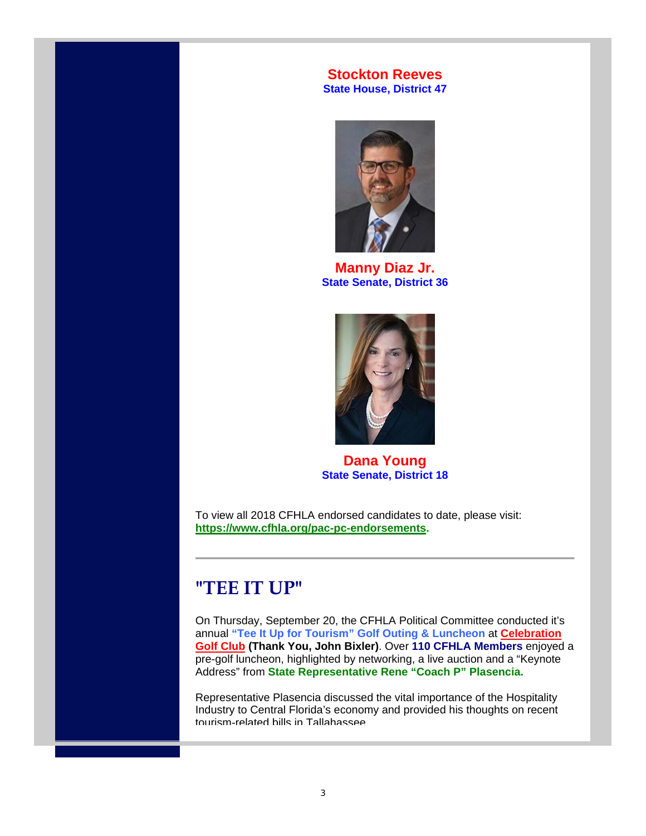#### **Stockton Reeves State House, District 47**



**Manny Diaz Jr. State Senate, District 36**



### **Dana Young State Senate, District 18**

To view all 2018 CFHLA endorsed candidates to date, please visit: **https://www.cfhla.org/pac-pc-endorsements.**

### **"TEE IT UP"**

On Thursday, September 20, the CFHLA Political Committee conducted it's annual **"Tee It Up for Tourism" Golf Outing & Luncheon** at **Celebration Golf Club (Thank You, John Bixler)**. Over **110 CFHLA Members** enjoyed a pre-golf luncheon, highlighted by networking, a live auction and a "Keynote Address" from **State Representative Rene "Coach P" Plasencia.**

Representative Plasencia discussed the vital importance of the Hospitality Industry to Central Florida's economy and provided his thoughts on recent tourism-related bills in Tallahassee.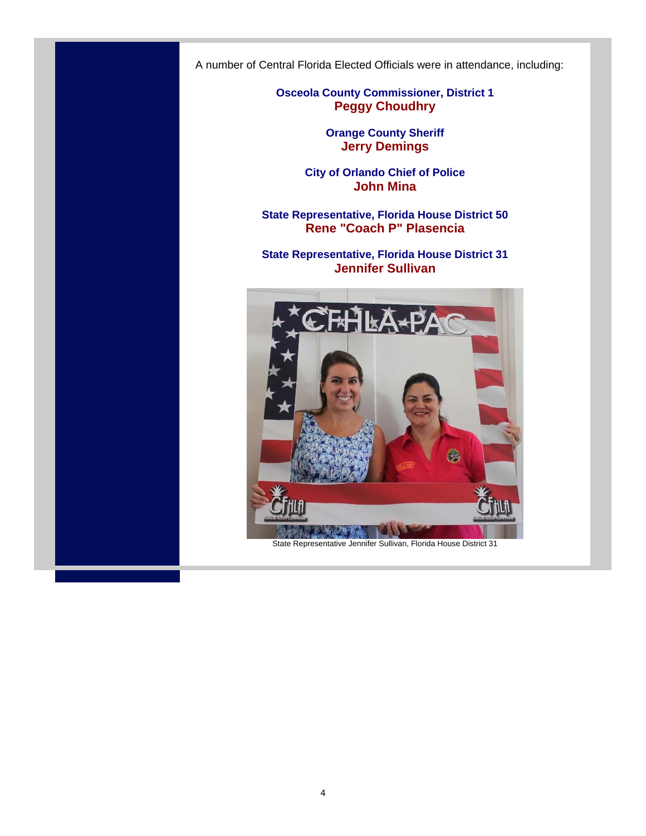A number of Central Florida Elected Officials were in attendance, including:

**Osceola County Commissioner, District 1 Peggy Choudhry**

> **Orange County Sheriff Jerry Demings**

**City of Orlando Chief of Police John Mina**

**State Representative, Florida House District 50 Rene "Coach P" Plasencia**

**State Representative, Florida House District 31 Jennifer Sullivan**



State Representative Jennifer Sullivan, Florida House District 31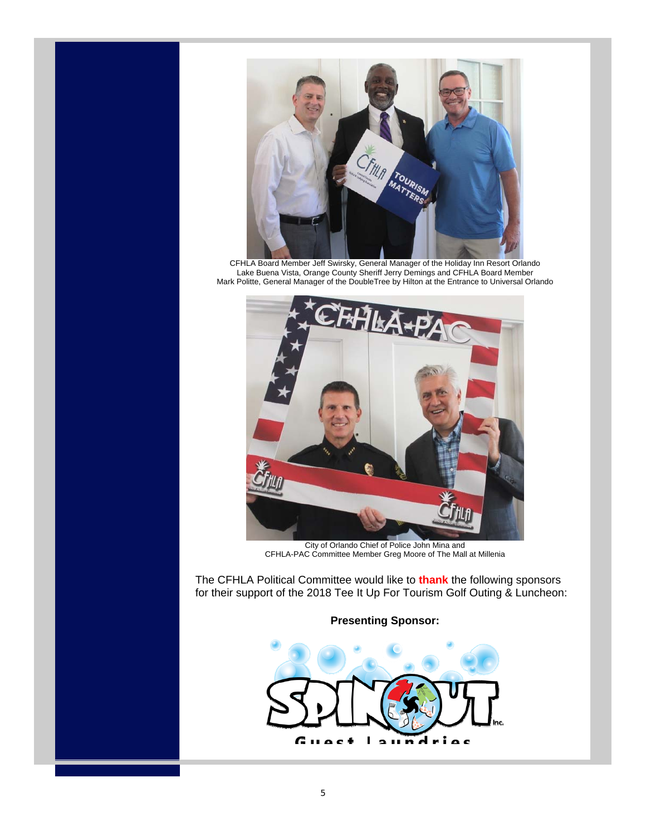

CFHLA Board Member Jeff Swirsky, General Manager of the Holiday Inn Resort Orlando Lake Buena Vista, Orange County Sheriff Jerry Demings and CFHLA Board Member Mark Politte, General Manager of the DoubleTree by Hilton at the Entrance to Universal Orlando



City of Orlando Chief of Police John Mina and CFHLA-PAC Committee Member Greg Moore of The Mall at Millenia

The CFHLA Political Committee would like to **thank** the following sponsors for their support of the 2018 Tee It Up For Tourism Golf Outing & Luncheon:

**Presenting Sponsor:** 

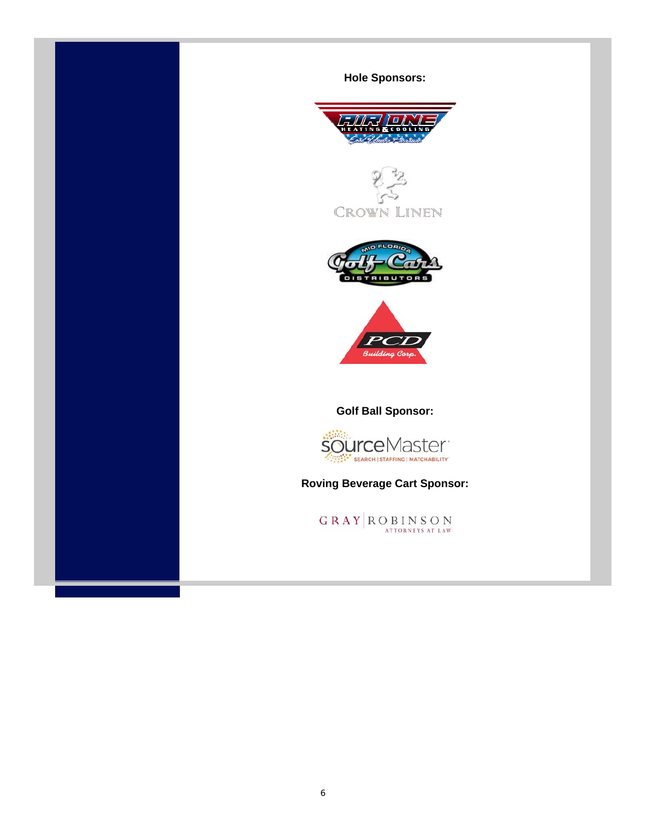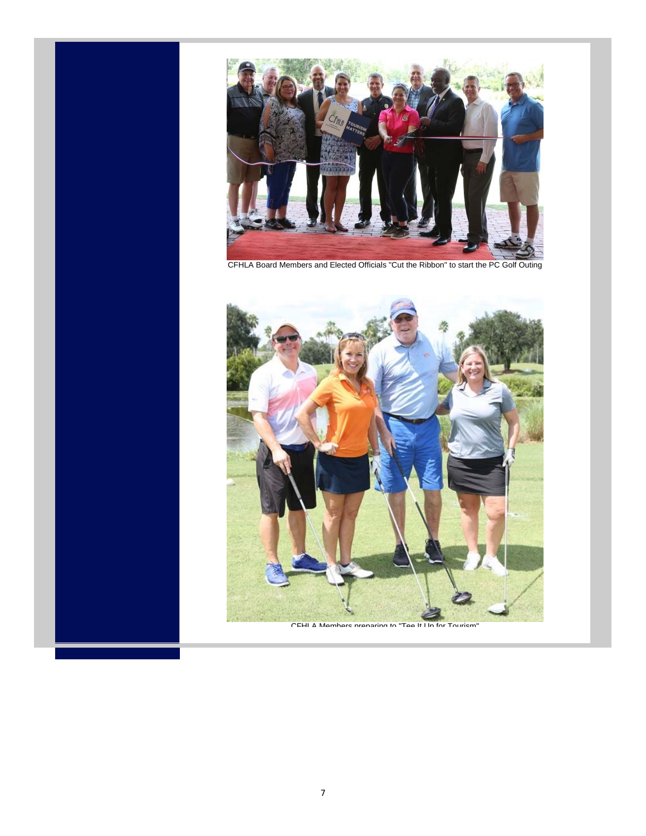

CFHLA Board Members and Elected Officials "Cut the Ribbon" to start the PC Golf Outing



CFHI A Mamhare praparing to "Taa It I In for Tourism"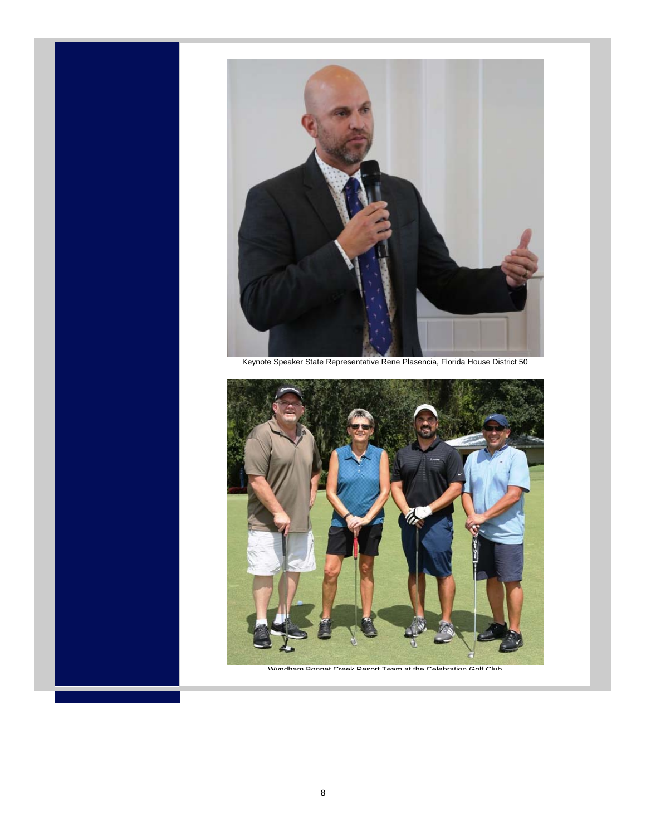

Keynote Speaker State Representative Rene Plasencia, Florida House District 50



Wyndham Ronnet Creek Resort Team at the Celebration Golf Club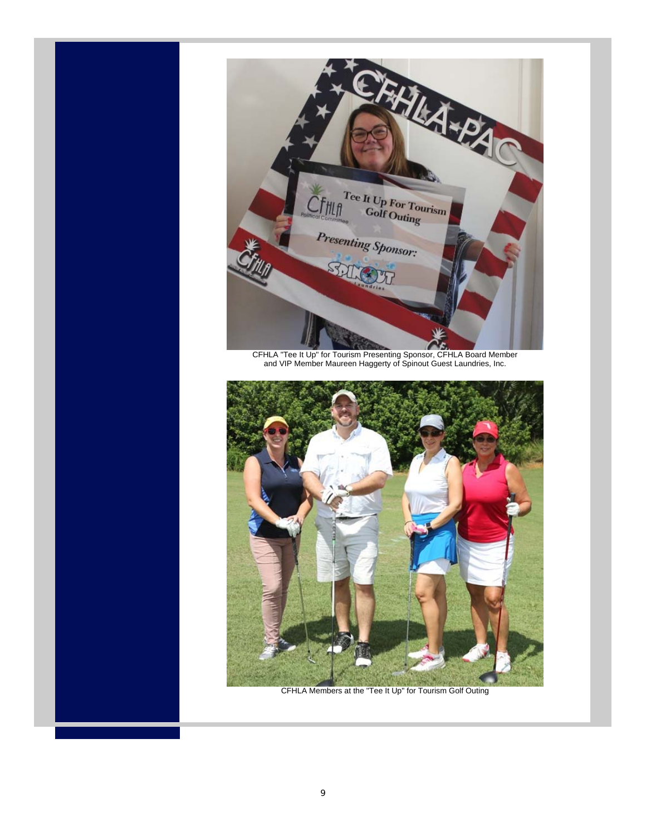

CFHLA "Tee It Up" for Tourism Presenting Sponsor, CFHLA Board Member and VIP Member Maureen Haggerty of Spinout Guest Laundries, Inc.



CFHLA Members at the "Tee It Up" for Tourism Golf Outing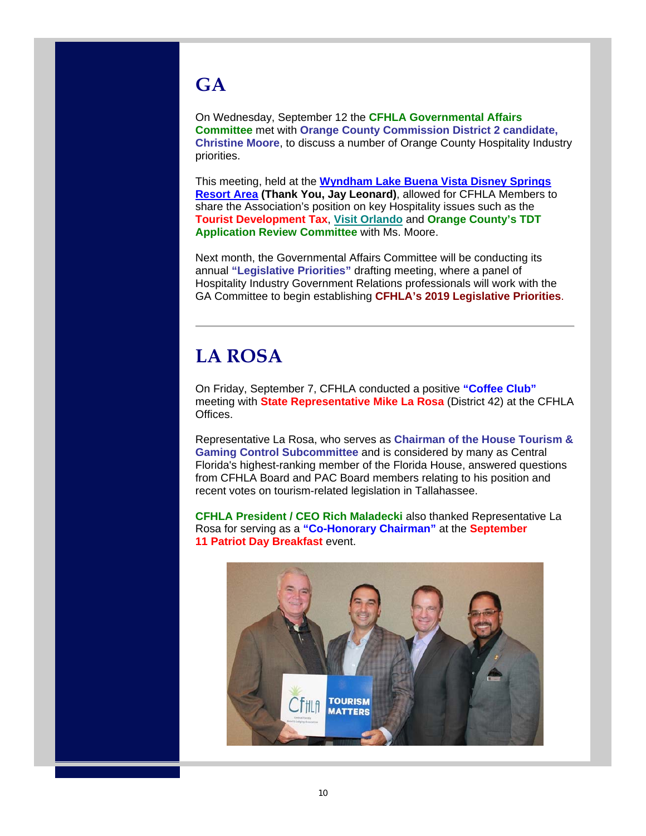## **GA**

On Wednesday, September 12 the **CFHLA Governmental Affairs Committee** met with **Orange County Commission District 2 candidate, Christine Moore**, to discuss a number of Orange County Hospitality Industry priorities.

This meeting, held at the **Wyndham Lake Buena Vista Disney Springs Resort Area (Thank You, Jay Leonard)**, allowed for CFHLA Members to share the Association's position on key Hospitality issues such as the **Tourist Development Tax**, **Visit Orlando** and **Orange County's TDT Application Review Committee** with Ms. Moore.

Next month, the Governmental Affairs Committee will be conducting its annual **"Legislative Priorities"** drafting meeting, where a panel of Hospitality Industry Government Relations professionals will work with the GA Committee to begin establishing **CFHLA's 2019 Legislative Priorities**.

# **LA ROSA**

On Friday, September 7, CFHLA conducted a positive **"Coffee Club"** meeting with **State Representative Mike La Rosa** (District 42) at the CFHLA Offices.

Representative La Rosa, who serves as **Chairman of the House Tourism & Gaming Control Subcommittee** and is considered by many as Central Florida's highest-ranking member of the Florida House, answered questions from CFHLA Board and PAC Board members relating to his position and recent votes on tourism-related legislation in Tallahassee.

**CFHLA President / CEO Rich Maladecki** also thanked Representative La Rosa for serving as a **"Co-Honorary Chairman"** at the **September 11 Patriot Day Breakfast** event.

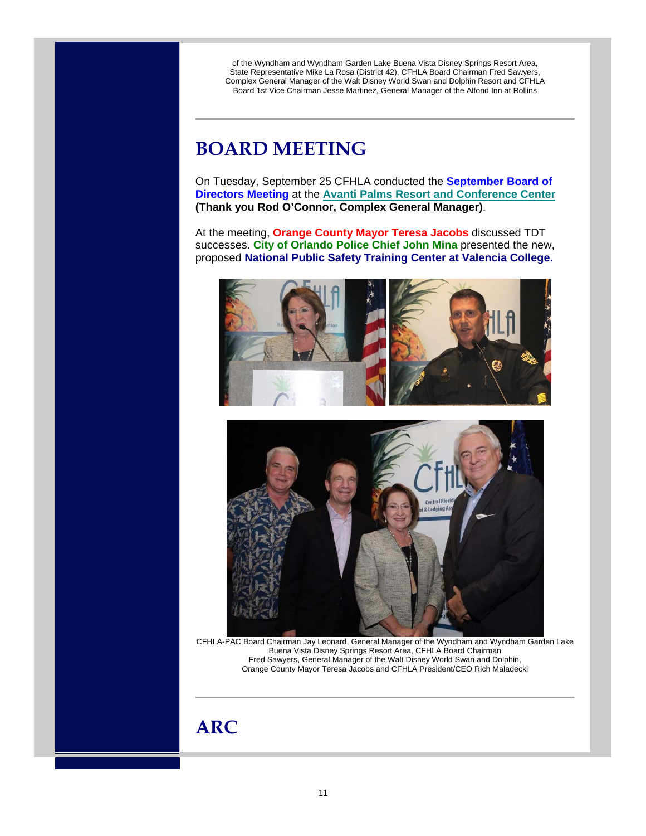of the Wyndham and Wyndham Garden Lake Buena Vista Disney Springs Resort Area, State Representative Mike La Rosa (District 42), CFHLA Board Chairman Fred Sawyers, Complex General Manager of the Walt Disney World Swan and Dolphin Resort and CFHLA Board 1st Vice Chairman Jesse Martinez, General Manager of the Alfond Inn at Rollins

### **BOARD MEETING**

On Tuesday, September 25 CFHLA conducted the **September Board of Directors Meeting** at the **Avanti Palms Resort and Conference Center (Thank you Rod O'Connor, Complex General Manager)**.

At the meeting, **Orange County Mayor Teresa Jacobs** discussed TDT successes. **City of Orlando Police Chief John Mina** presented the new, proposed **National Public Safety Training Center at Valencia College.**





CFHLA-PAC Board Chairman Jay Leonard, General Manager of the Wyndham and Wyndham Garden Lake Buena Vista Disney Springs Resort Area, CFHLA Board Chairman Fred Sawyers, General Manager of the Walt Disney World Swan and Dolphin, Orange County Mayor Teresa Jacobs and CFHLA President/CEO Rich Maladecki

## **ARC**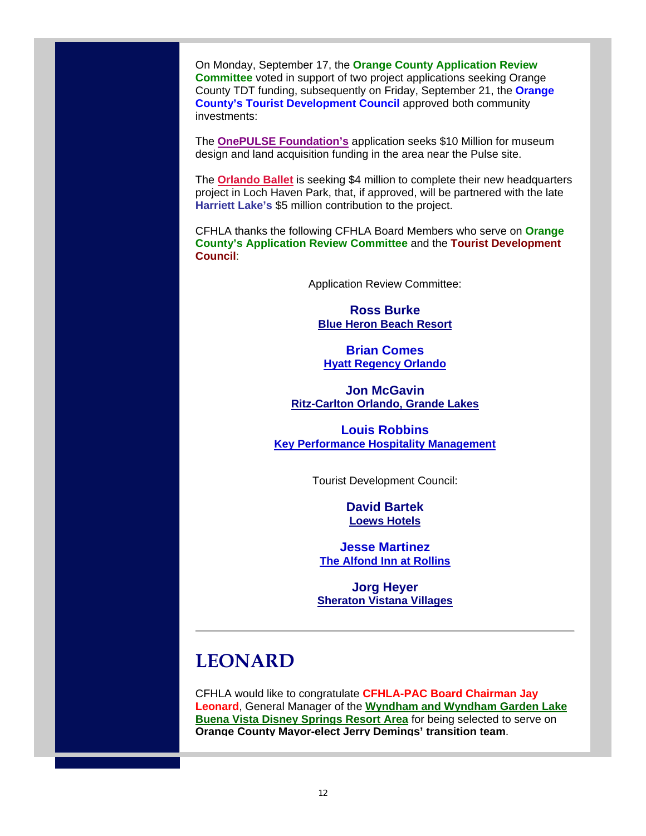On Monday, September 17, the **Orange County Application Review Committee** voted in support of two project applications seeking Orange County TDT funding, subsequently on Friday, September 21, the **Orange County's Tourist Development Council** approved both community investments:

The **OnePULSE Foundation's** application seeks \$10 Million for museum design and land acquisition funding in the area near the Pulse site.

The **Orlando Ballet** is seeking \$4 million to complete their new headquarters project in Loch Haven Park, that, if approved, will be partnered with the late **Harriett Lake's** \$5 million contribution to the project.

CFHLA thanks the following CFHLA Board Members who serve on **Orange County's Application Review Committee** and the **Tourist Development Council**:

Application Review Committee:

**Ross Burke Blue Heron Beach Resort**

**Brian Comes Hyatt Regency Orlando**

**Jon McGavin Ritz-Carlton Orlando, Grande Lakes**

**Louis Robbins Key Performance Hospitality Management**

Tourist Development Council:

**David Bartek Loews Hotels** 

**Jesse Martinez The Alfond Inn at Rollins**

**Jorg Heyer Sheraton Vistana Villages**

### **LEONARD**

CFHLA would like to congratulate **CFHLA-PAC Board Chairman Jay Leonard**, General Manager of the **Wyndham and Wyndham Garden Lake Buena Vista Disney Springs Resort Area** for being selected to serve on **Orange County Mayor-elect Jerry Demings' transition team**.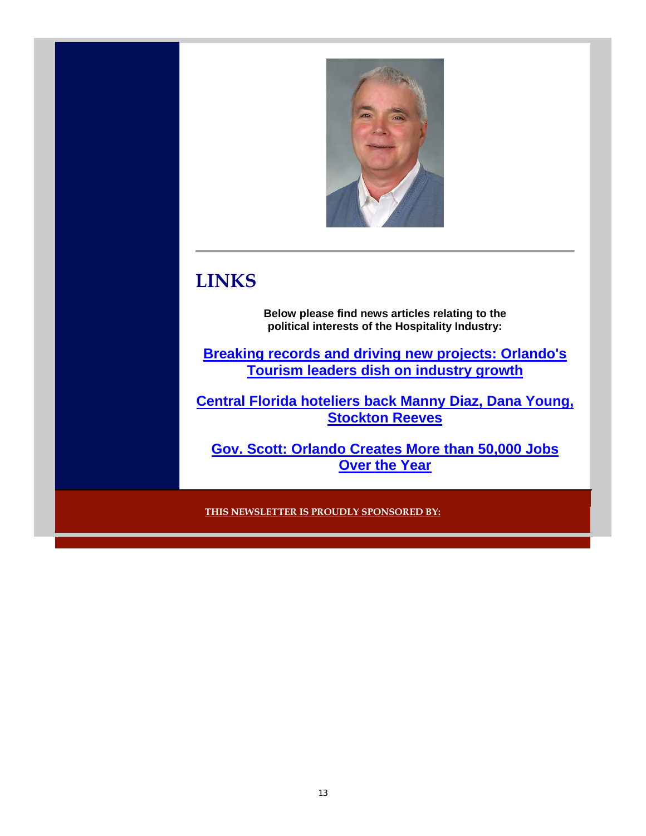

## **LINKS**

**Below please find news articles relating to the political interests of the Hospitality Industry:** 

**Breaking records and driving new projects: Orlando's Tourism leaders dish on industry growth**

**Central Florida hoteliers back Manny Diaz, Dana Young, Stockton Reeves**

**Gov. Scott: Orlando Creates More than 50,000 Jobs Over the Year**

**THIS NEWSLETTER IS PROUDLY SPONSORED BY:**